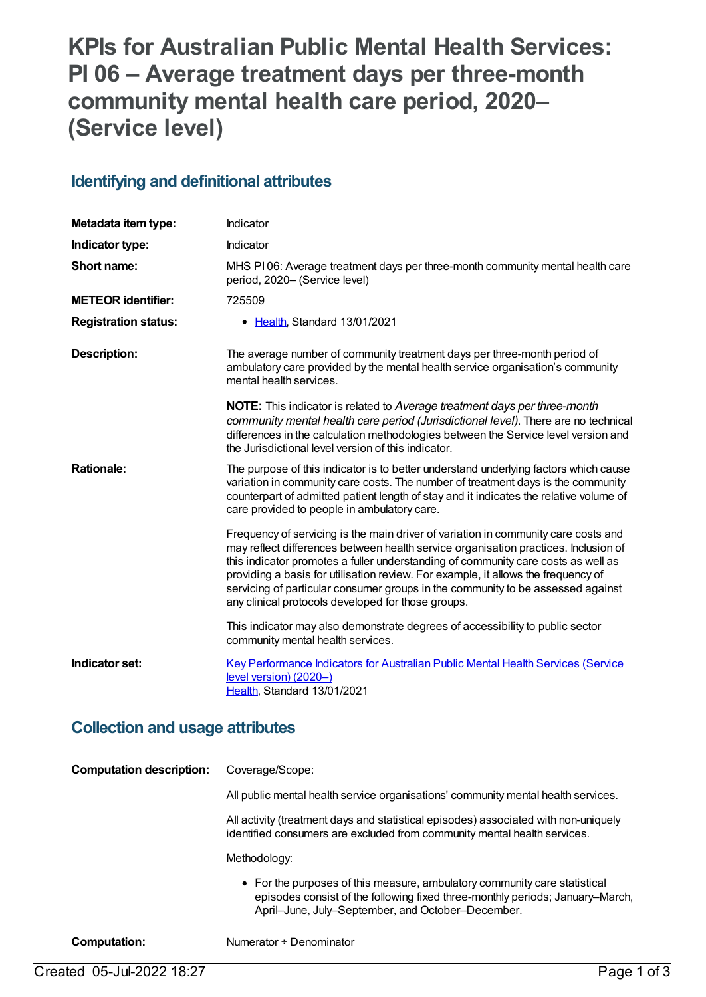# **KPIs for Australian Public Mental Health Services: PI 06 – Average treatment days per three-month community mental health care period, 2020– (Service level)**

### **Identifying and definitional attributes**

| Metadata item type:         | Indicator                                                                                                                                                                                                                                                                                                                                                                                                                                                                                    |
|-----------------------------|----------------------------------------------------------------------------------------------------------------------------------------------------------------------------------------------------------------------------------------------------------------------------------------------------------------------------------------------------------------------------------------------------------------------------------------------------------------------------------------------|
| Indicator type:             | Indicator                                                                                                                                                                                                                                                                                                                                                                                                                                                                                    |
| Short name:                 | MHS PI06: Average treatment days per three-month community mental health care<br>period, 2020- (Service level)                                                                                                                                                                                                                                                                                                                                                                               |
| <b>METEOR identifier:</b>   | 725509                                                                                                                                                                                                                                                                                                                                                                                                                                                                                       |
| <b>Registration status:</b> | • Health, Standard 13/01/2021                                                                                                                                                                                                                                                                                                                                                                                                                                                                |
| <b>Description:</b>         | The average number of community treatment days per three-month period of<br>ambulatory care provided by the mental health service organisation's community<br>mental health services.                                                                                                                                                                                                                                                                                                        |
|                             | <b>NOTE:</b> This indicator is related to Average treatment days per three-month<br>community mental health care period (Jurisdictional level). There are no technical<br>differences in the calculation methodologies between the Service level version and<br>the Jurisdictional level version of this indicator.                                                                                                                                                                          |
| <b>Rationale:</b>           | The purpose of this indicator is to better understand underlying factors which cause<br>variation in community care costs. The number of treatment days is the community<br>counterpart of admitted patient length of stay and it indicates the relative volume of<br>care provided to people in ambulatory care.                                                                                                                                                                            |
|                             | Frequency of servicing is the main driver of variation in community care costs and<br>may reflect differences between health service organisation practices. Inclusion of<br>this indicator promotes a fuller understanding of community care costs as well as<br>providing a basis for utilisation review. For example, it allows the frequency of<br>servicing of particular consumer groups in the community to be assessed against<br>any clinical protocols developed for those groups. |
|                             | This indicator may also demonstrate degrees of accessibility to public sector<br>community mental health services.                                                                                                                                                                                                                                                                                                                                                                           |
| Indicator set:              | Key Performance Indicators for Australian Public Mental Health Services (Service<br>level version) (2020-)<br>Health, Standard 13/01/2021                                                                                                                                                                                                                                                                                                                                                    |

### **Collection and usage attributes**

| <b>Computation description:</b> | Coverage/Scope:                                                                                                                                                                                                 |
|---------------------------------|-----------------------------------------------------------------------------------------------------------------------------------------------------------------------------------------------------------------|
|                                 | All public mental health service organisations' community mental health services.                                                                                                                               |
|                                 | All activity (treatment days and statistical episodes) associated with non-uniquely<br>identified consumers are excluded from community mental health services.                                                 |
|                                 | Methodology:                                                                                                                                                                                                    |
|                                 | • For the purposes of this measure, ambulatory community care statistical<br>episodes consist of the following fixed three-monthly periods; January–March,<br>April–June, July–September, and October–December. |
| Computation:                    | Numerator ÷ Denominator                                                                                                                                                                                         |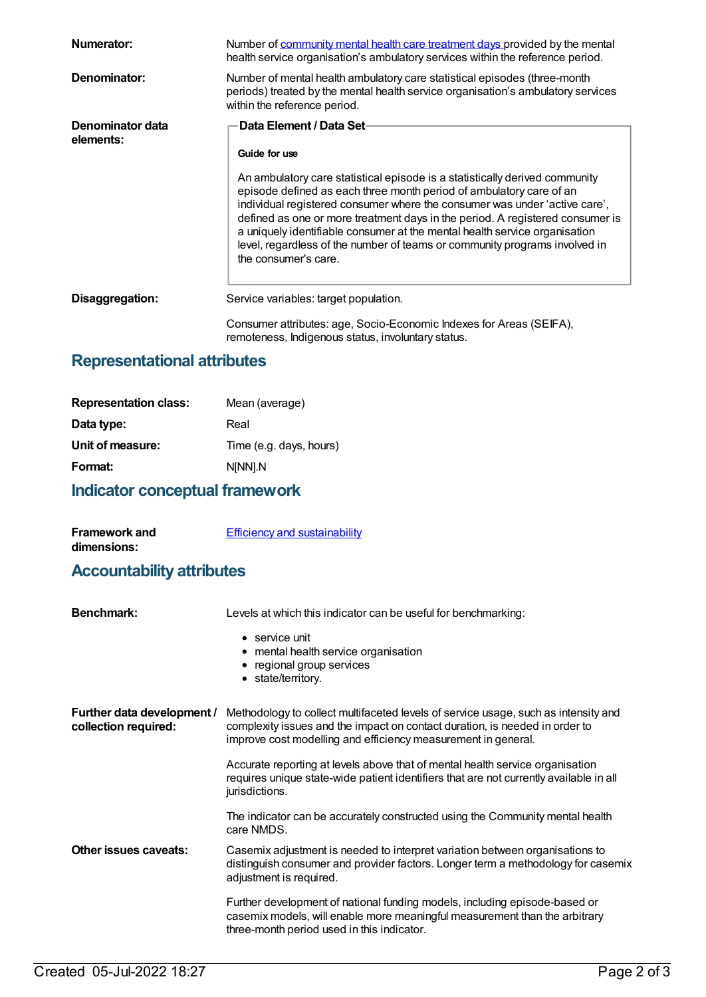| Numerator:                    | Number of community mental health care treatment days provided by the mental<br>health service organisation's ambulatory services within the reference period.                                                                                                                                                                                                                                                                                                                                                                                     |  |
|-------------------------------|----------------------------------------------------------------------------------------------------------------------------------------------------------------------------------------------------------------------------------------------------------------------------------------------------------------------------------------------------------------------------------------------------------------------------------------------------------------------------------------------------------------------------------------------------|--|
| Denominator:                  | Number of mental health ambulatory care statistical episodes (three-month<br>periods) treated by the mental health service organisation's ambulatory services<br>within the reference period.                                                                                                                                                                                                                                                                                                                                                      |  |
| Denominator data<br>elements: | Data Element / Data Set-<br>Guide for use<br>An ambulatory care statistical episode is a statistically derived community<br>episode defined as each three month period of ambulatory care of an<br>individual registered consumer where the consumer was under 'active care',<br>defined as one or more treatment days in the period. A registered consumer is<br>a uniquely identifiable consumer at the mental health service organisation<br>level, regardless of the number of teams or community programs involved in<br>the consumer's care. |  |
| Disaggregation:               | Service variables: target population.<br>Consumer attributes: age, Socio-Economic Indexes for Areas (SEIFA),<br>remoteness, Indigenous status, involuntary status.                                                                                                                                                                                                                                                                                                                                                                                 |  |

## **Representational attributes**

| Mean (average)          |
|-------------------------|
| Real                    |
| Time (e.g. days, hours) |
| N[NN].N                 |
|                         |

## **Indicator conceptual framework**

| <b>Framework and</b>                 | <b>Efficiency and sustainability</b> |
|--------------------------------------|--------------------------------------|
| dimensions:                          |                                      |
| لممة يتماشقون واثالثما والمتستمم وال |                                      |

#### **Accountability attributes**

| <b>Benchmark:</b>                                  | Levels at which this indicator can be useful for benchmarking:                                                                                                                                                                     |
|----------------------------------------------------|------------------------------------------------------------------------------------------------------------------------------------------------------------------------------------------------------------------------------------|
|                                                    | $\bullet$ service unit<br>• mental health service organisation<br>• regional group services<br>• state/territory.                                                                                                                  |
| Further data development /<br>collection required: | Methodology to collect multifaceted levels of service usage, such as intensity and<br>complexity issues and the impact on contact duration, is needed in order to<br>improve cost modelling and efficiency measurement in general. |
|                                                    | Accurate reporting at levels above that of mental health service organisation<br>requires unique state-wide patient identifiers that are not currently available in all<br>jurisdictions.                                          |
|                                                    | The indicator can be accurately constructed using the Community mental health<br>care NMDS.                                                                                                                                        |
| Other issues caveats:                              | Casemix adjustment is needed to interpret variation between organisations to<br>distinguish consumer and provider factors. Longer term a methodology for casemix<br>adjustment is required.                                        |
|                                                    | Further development of national funding models, including episode-based or<br>casemix models, will enable more meaningful measurement than the arbitrary<br>three-month period used in this indicator.                             |